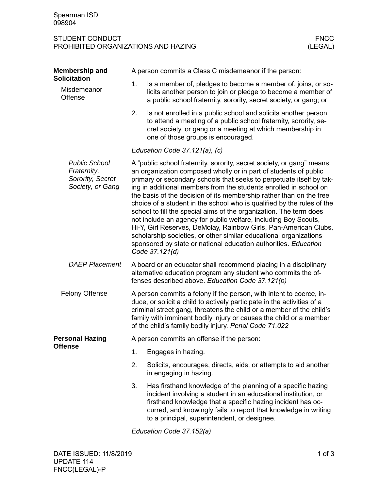## STUDENT CONDUCT FNCC PROHIBITED ORGANIZATIONS AND HAZING

| Membership and                                                              | A person commits a Class C misdemeanor if the person:                                                                                                                                 |                                                                                                                                                                                                                                                                                                                                                                                                                                                                                                                                                                                                                                                                                                                                                                                                                |  |  |  |
|-----------------------------------------------------------------------------|---------------------------------------------------------------------------------------------------------------------------------------------------------------------------------------|----------------------------------------------------------------------------------------------------------------------------------------------------------------------------------------------------------------------------------------------------------------------------------------------------------------------------------------------------------------------------------------------------------------------------------------------------------------------------------------------------------------------------------------------------------------------------------------------------------------------------------------------------------------------------------------------------------------------------------------------------------------------------------------------------------------|--|--|--|
| <b>Solicitation</b><br>Misdemeanor<br>Offense                               | 1.                                                                                                                                                                                    | Is a member of, pledges to become a member of, joins, or so-<br>licits another person to join or pledge to become a member of<br>a public school fraternity, sorority, secret society, or gang; or                                                                                                                                                                                                                                                                                                                                                                                                                                                                                                                                                                                                             |  |  |  |
|                                                                             | 2.                                                                                                                                                                                    | Is not enrolled in a public school and solicits another person<br>to attend a meeting of a public school fraternity, sorority, se-<br>cret society, or gang or a meeting at which membership in<br>one of those groups is encouraged.                                                                                                                                                                                                                                                                                                                                                                                                                                                                                                                                                                          |  |  |  |
|                                                                             | Education Code 37.121(a), (c)                                                                                                                                                         |                                                                                                                                                                                                                                                                                                                                                                                                                                                                                                                                                                                                                                                                                                                                                                                                                |  |  |  |
| <b>Public School</b><br>Fraternity,<br>Sorority, Secret<br>Society, or Gang |                                                                                                                                                                                       | A "public school fraternity, sorority, secret society, or gang" means<br>an organization composed wholly or in part of students of public<br>primary or secondary schools that seeks to perpetuate itself by tak-<br>ing in additional members from the students enrolled in school on<br>the basis of the decision of its membership rather than on the free<br>choice of a student in the school who is qualified by the rules of the<br>school to fill the special aims of the organization. The term does<br>not include an agency for public welfare, including Boy Scouts,<br>Hi-Y, Girl Reserves, DeMolay, Rainbow Girls, Pan-American Clubs,<br>scholarship societies, or other similar educational organizations<br>sponsored by state or national education authorities. Education<br>Code 37.121(d) |  |  |  |
| <b>DAEP Placement</b>                                                       | A board or an educator shall recommend placing in a disciplinary<br>alternative education program any student who commits the of-<br>fenses described above. Education Code 37.121(b) |                                                                                                                                                                                                                                                                                                                                                                                                                                                                                                                                                                                                                                                                                                                                                                                                                |  |  |  |
| <b>Felony Offense</b>                                                       |                                                                                                                                                                                       | A person commits a felony if the person, with intent to coerce, in-<br>duce, or solicit a child to actively participate in the activities of a<br>criminal street gang, threatens the child or a member of the child's<br>family with imminent bodily injury or causes the child or a member<br>of the child's family bodily injury. Penal Code 71.022                                                                                                                                                                                                                                                                                                                                                                                                                                                         |  |  |  |
| <b>Personal Hazing</b>                                                      | A person commits an offense if the person:                                                                                                                                            |                                                                                                                                                                                                                                                                                                                                                                                                                                                                                                                                                                                                                                                                                                                                                                                                                |  |  |  |
| Offense                                                                     | 1.                                                                                                                                                                                    | Engages in hazing.                                                                                                                                                                                                                                                                                                                                                                                                                                                                                                                                                                                                                                                                                                                                                                                             |  |  |  |
|                                                                             | 2.                                                                                                                                                                                    | Solicits, encourages, directs, aids, or attempts to aid another<br>in engaging in hazing.                                                                                                                                                                                                                                                                                                                                                                                                                                                                                                                                                                                                                                                                                                                      |  |  |  |
|                                                                             | 3.                                                                                                                                                                                    | Has firsthand knowledge of the planning of a specific hazing<br>incident involving a student in an educational institution, or<br>firsthand knowledge that a specific hazing incident has oc-<br>curred, and knowingly fails to report that knowledge in writing<br>to a principal, superintendent, or designee.                                                                                                                                                                                                                                                                                                                                                                                                                                                                                               |  |  |  |

*Education Code 37.152(a)*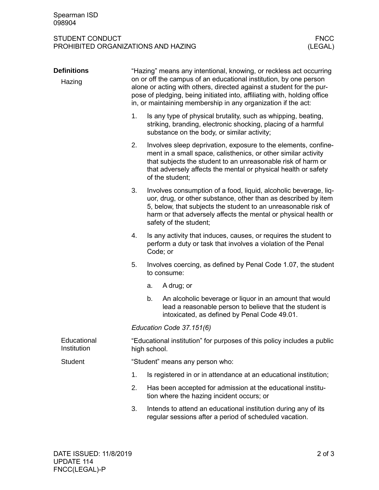## STUDENT CONDUCT FNCC PROHIBITED ORGANIZATIONS AND HAZING

|  | <b>Definitions</b>         | "Hazing" means any intentional, knowing, or reckless act occurring<br>on or off the campus of an educational institution, by one person<br>alone or acting with others, directed against a student for the pur-<br>pose of pledging, being initiated into, affiliating with, holding office<br>in, or maintaining membership in any organization if the act: |                                                                                                                                                                                                                                                                                                   |                                                                                                                                                                                                                                                                                       |  |  |  |
|--|----------------------------|--------------------------------------------------------------------------------------------------------------------------------------------------------------------------------------------------------------------------------------------------------------------------------------------------------------------------------------------------------------|---------------------------------------------------------------------------------------------------------------------------------------------------------------------------------------------------------------------------------------------------------------------------------------------------|---------------------------------------------------------------------------------------------------------------------------------------------------------------------------------------------------------------------------------------------------------------------------------------|--|--|--|
|  | Hazing                     |                                                                                                                                                                                                                                                                                                                                                              |                                                                                                                                                                                                                                                                                                   |                                                                                                                                                                                                                                                                                       |  |  |  |
|  |                            | 1.                                                                                                                                                                                                                                                                                                                                                           | Is any type of physical brutality, such as whipping, beating,<br>striking, branding, electronic shocking, placing of a harmful<br>substance on the body, or similar activity;                                                                                                                     |                                                                                                                                                                                                                                                                                       |  |  |  |
|  |                            | 2.                                                                                                                                                                                                                                                                                                                                                           |                                                                                                                                                                                                                                                                                                   | Involves sleep deprivation, exposure to the elements, confine-<br>ment in a small space, calisthenics, or other similar activity<br>that subjects the student to an unreasonable risk of harm or<br>that adversely affects the mental or physical health or safety<br>of the student; |  |  |  |
|  |                            | 3.                                                                                                                                                                                                                                                                                                                                                           | Involves consumption of a food, liquid, alcoholic beverage, liq-<br>uor, drug, or other substance, other than as described by item<br>5, below, that subjects the student to an unreasonable risk of<br>harm or that adversely affects the mental or physical health or<br>safety of the student; |                                                                                                                                                                                                                                                                                       |  |  |  |
|  |                            | 4.                                                                                                                                                                                                                                                                                                                                                           | Is any activity that induces, causes, or requires the student to<br>perform a duty or task that involves a violation of the Penal<br>Code; or                                                                                                                                                     |                                                                                                                                                                                                                                                                                       |  |  |  |
|  |                            | 5.                                                                                                                                                                                                                                                                                                                                                           |                                                                                                                                                                                                                                                                                                   | Involves coercing, as defined by Penal Code 1.07, the student<br>to consume:                                                                                                                                                                                                          |  |  |  |
|  |                            |                                                                                                                                                                                                                                                                                                                                                              | a.                                                                                                                                                                                                                                                                                                | A drug; or                                                                                                                                                                                                                                                                            |  |  |  |
|  |                            |                                                                                                                                                                                                                                                                                                                                                              | b.                                                                                                                                                                                                                                                                                                | An alcoholic beverage or liquor in an amount that would<br>lead a reasonable person to believe that the student is<br>intoxicated, as defined by Penal Code 49.01.                                                                                                                    |  |  |  |
|  |                            | Education Code 37.151(6)                                                                                                                                                                                                                                                                                                                                     |                                                                                                                                                                                                                                                                                                   |                                                                                                                                                                                                                                                                                       |  |  |  |
|  | Educational<br>Institution |                                                                                                                                                                                                                                                                                                                                                              | high school.                                                                                                                                                                                                                                                                                      | "Educational institution" for purposes of this policy includes a public                                                                                                                                                                                                               |  |  |  |
|  | <b>Student</b>             | "Student" means any person who:                                                                                                                                                                                                                                                                                                                              |                                                                                                                                                                                                                                                                                                   |                                                                                                                                                                                                                                                                                       |  |  |  |
|  |                            | 1.                                                                                                                                                                                                                                                                                                                                                           | Is registered in or in attendance at an educational institution;                                                                                                                                                                                                                                  |                                                                                                                                                                                                                                                                                       |  |  |  |
|  |                            | 2.                                                                                                                                                                                                                                                                                                                                                           | Has been accepted for admission at the educational institu-<br>tion where the hazing incident occurs; or                                                                                                                                                                                          |                                                                                                                                                                                                                                                                                       |  |  |  |
|  |                            | 3.                                                                                                                                                                                                                                                                                                                                                           |                                                                                                                                                                                                                                                                                                   | Intends to attend an educational institution during any of its<br>regular sessions after a period of scheduled vacation.                                                                                                                                                              |  |  |  |
|  |                            |                                                                                                                                                                                                                                                                                                                                                              |                                                                                                                                                                                                                                                                                                   |                                                                                                                                                                                                                                                                                       |  |  |  |